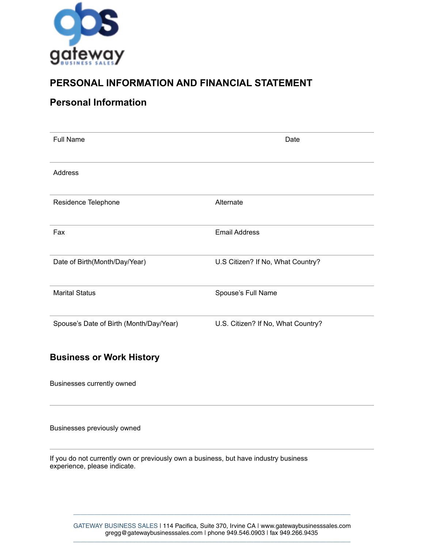

## **PERSONAL INFORMATION AND FINANCIAL STATEMENT**

### **Personal Information**

| <b>Full Name</b>                        | Date                               |
|-----------------------------------------|------------------------------------|
| Address                                 |                                    |
| Residence Telephone                     | Alternate                          |
| Fax                                     | <b>Email Address</b>               |
| Date of Birth(Month/Day/Year)           | U.S Citizen? If No, What Country?  |
| <b>Marital Status</b>                   | Spouse's Full Name                 |
| Spouse's Date of Birth (Month/Day/Year) | U.S. Citizen? If No, What Country? |

#### **Business or Work History**

Businesses currently owned

Businesses previously owned

If you do not currently own or previously own a business, but have industry business experience, please indicate.

GATEWAY BUSINESS SALES | 114 Pacifica, Suite 370, Irvine CA | [www.gatewaybusinesssales.com](http://www.gatewaybusinesssales.com) [gregg@gatewaybusinesssales.com](mailto:info@gatewaybusinesssales.com?subject=) | phone 949.546.0903 | fax 949.266.9435 \_\_\_\_\_\_\_\_\_\_\_\_\_\_\_\_\_\_\_\_\_\_\_\_\_\_\_\_\_\_\_\_\_\_\_\_\_\_\_\_\_\_\_\_\_\_\_\_\_\_\_\_\_\_\_\_\_\_\_\_\_\_\_\_\_\_\_\_\_\_\_\_\_\_\_\_\_\_\_\_

\_\_\_\_\_\_\_\_\_\_\_\_\_\_\_\_\_\_\_\_\_\_\_\_\_\_\_\_\_\_\_\_\_\_\_\_\_\_\_\_\_\_\_\_\_\_\_\_\_\_\_\_\_\_\_\_\_\_\_\_\_\_\_\_\_\_\_\_\_\_\_\_\_\_\_\_\_\_\_\_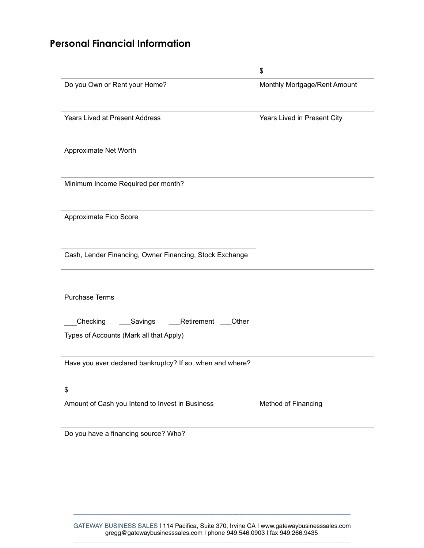# **Personal Financial Information**

|                                                           | \$                           |
|-----------------------------------------------------------|------------------------------|
| Do you Own or Rent your Home?                             | Monthly Mortgage/Rent Amount |
| <b>Years Lived at Present Address</b>                     | Years Lived in Present City  |
| Approximate Net Worth                                     |                              |
| Minimum Income Required per month?                        |                              |
| Approximate Fico Score                                    |                              |
| Cash, Lender Financing, Owner Financing, Stock Exchange   |                              |
| <b>Purchase Terms</b>                                     |                              |
| Checking<br>Retirement<br>Other<br>Savings                |                              |
| Types of Accounts (Mark all that Apply)                   |                              |
| Have you ever declared bankruptcy? If so, when and where? |                              |
| \$                                                        |                              |
| Amount of Cash you Intend to Invest in Business           | Method of Financing          |

Do you have a financing source? Who?

\_\_\_\_\_\_\_\_\_\_\_\_\_\_\_\_\_\_\_\_\_\_\_\_\_\_\_\_\_\_\_\_\_\_\_\_\_\_\_\_\_\_\_\_\_\_\_\_\_\_\_\_\_\_\_\_\_\_\_\_\_\_\_\_\_\_\_\_\_\_\_\_\_\_\_\_\_\_\_\_